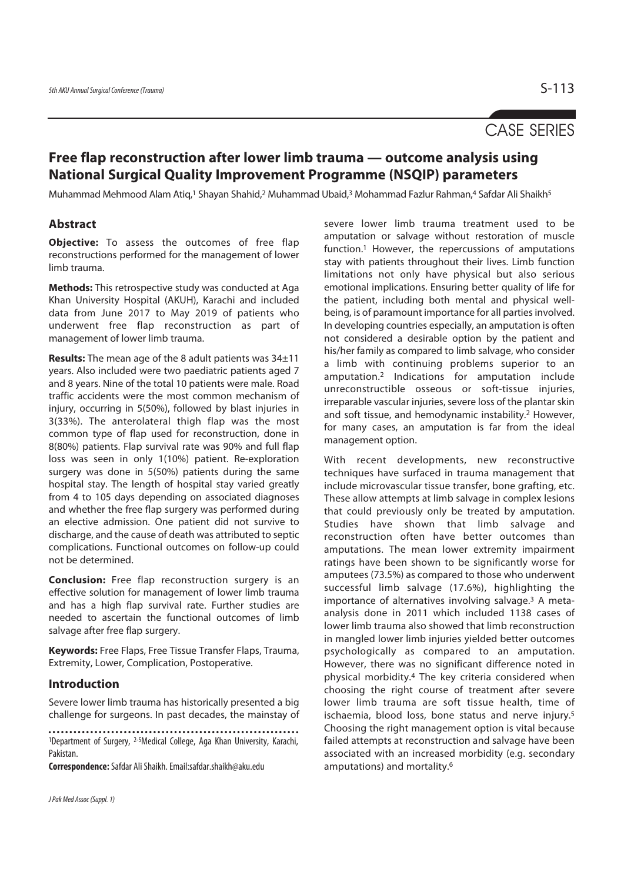# CASE SERIES

# **Free flap reconstruction after lower limb trauma — outcome analysis using National Surgical Quality Improvement Programme (NSQIP) parameters**

Muhammad Mehmood Alam Atiq,<sup>1</sup> Shayan Shahid,<sup>2</sup> Muhammad Ubaid,<sup>3</sup> Mohammad Fazlur Rahman,<sup>4</sup> Safdar Ali Shaikh<sup>5</sup>

# **Abstract**

**Objective:** To assess the outcomes of free flap reconstructions performed for the management of lower limb trauma.

**Methods:** This retrospective study was conducted at Aga Khan University Hospital (AKUH), Karachi and included data from June 2017 to May 2019 of patients who underwent free flap reconstruction as part of management of lower limb trauma.

**Results:** The mean age of the 8 adult patients was 34±11 years. Also included were two paediatric patients aged 7 and 8 years. Nine of the total 10 patients were male. Road traffic accidents were the most common mechanism of injury, occurring in 5(50%), followed by blast injuries in 3(33%). The anterolateral thigh flap was the most common type of flap used for reconstruction, done in 8(80%) patients. Flap survival rate was 90% and full flap loss was seen in only 1(10%) patient. Re-exploration surgery was done in 5(50%) patients during the same hospital stay. The length of hospital stay varied greatly from 4 to 105 days depending on associated diagnoses and whether the free flap surgery was performed during an elective admission. One patient did not survive to discharge, and the cause of death was attributed to septic complications. Functional outcomes on follow-up could not be determined.

**Conclusion:** Free flap reconstruction surgery is an effective solution for management of lower limb trauma and has a high flap survival rate. Further studies are needed to ascertain the functional outcomes of limb salvage after free flap surgery.

**Keywords:** Free Flaps, Free Tissue Transfer Flaps, Trauma, Extremity, Lower, Complication, Postoperative.

### **Introduction**

Severe lower limb trauma has historically presented a big challenge for surgeons. In past decades, the mainstay of

1Department of Surgery, 2-5Medical College, Aga Khan University, Karachi, Pakistan.

**Correspondence:** Safdar Ali Shaikh. Email:safdar.shaikh@aku.edu

severe lower limb trauma treatment used to be amputation or salvage without restoration of muscle function.1 However, the repercussions of amputations stay with patients throughout their lives. Limb function limitations not only have physical but also serious emotional implications. Ensuring better quality of life for the patient, including both mental and physical wellbeing, is of paramount importance for all parties involved. In developing countries especially, an amputation is often not considered a desirable option by the patient and his/her family as compared to limb salvage, who consider a limb with continuing problems superior to an amputation.2 Indications for amputation include unreconstructible osseous or soft-tissue injuries, irreparable vascular injuries, severe loss of the plantar skin and soft tissue, and hemodynamic instability.2 However, for many cases, an amputation is far from the ideal management option.

With recent developments, new reconstructive techniques have surfaced in trauma management that include microvascular tissue transfer, bone grafting, etc. These allow attempts at limb salvage in complex lesions that could previously only be treated by amputation. Studies have shown that limb salvage and reconstruction often have better outcomes than amputations. The mean lower extremity impairment ratings have been shown to be significantly worse for amputees (73.5%) as compared to those who underwent successful limb salvage (17.6%), highlighting the importance of alternatives involving salvage.3 A metaanalysis done in 2011 which included 1138 cases of lower limb trauma also showed that limb reconstruction in mangled lower limb injuries yielded better outcomes psychologically as compared to an amputation. However, there was no significant difference noted in physical morbidity.4 The key criteria considered when choosing the right course of treatment after severe lower limb trauma are soft tissue health, time of ischaemia, blood loss, bone status and nerve injury.5 Choosing the right management option is vital because failed attempts at reconstruction and salvage have been associated with an increased morbidity (e.g. secondary amputations) and mortality.6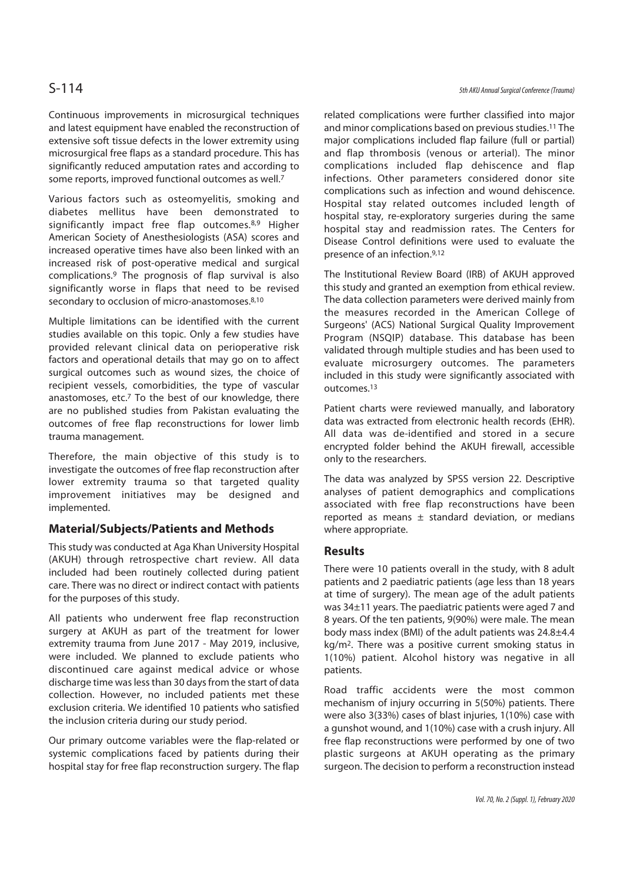Continuous improvements in microsurgical techniques and latest equipment have enabled the reconstruction of extensive soft tissue defects in the lower extremity using microsurgical free flaps as a standard procedure. This has significantly reduced amputation rates and according to some reports, improved functional outcomes as well.7

Various factors such as osteomyelitis, smoking and diabetes mellitus have been demonstrated to significantly impact free flap outcomes.<sup>8,9</sup> Higher American Society of Anesthesiologists (ASA) scores and increased operative times have also been linked with an increased risk of post-operative medical and surgical complications.9 The prognosis of flap survival is also significantly worse in flaps that need to be revised secondary to occlusion of micro-anastomoses.<sup>8,10</sup>

Multiple limitations can be identified with the current studies available on this topic. Only a few studies have provided relevant clinical data on perioperative risk factors and operational details that may go on to affect surgical outcomes such as wound sizes, the choice of recipient vessels, comorbidities, the type of vascular anastomoses, etc.7 To the best of our knowledge, there are no published studies from Pakistan evaluating the outcomes of free flap reconstructions for lower limb trauma management.

Therefore, the main objective of this study is to investigate the outcomes of free flap reconstruction after lower extremity trauma so that targeted quality improvement initiatives may be designed and implemented.

# **Material/Subjects/Patients and Methods**

This study was conducted at Aga Khan University Hospital (AKUH) through retrospective chart review. All data included had been routinely collected during patient care. There was no direct or indirect contact with patients for the purposes of this study.

All patients who underwent free flap reconstruction surgery at AKUH as part of the treatment for lower extremity trauma from June 2017 - May 2019, inclusive, were included. We planned to exclude patients who discontinued care against medical advice or whose discharge time was less than 30 days from the start of data collection. However, no included patients met these exclusion criteria. We identified 10 patients who satisfied the inclusion criteria during our study period.

Our primary outcome variables were the flap-related or systemic complications faced by patients during their hospital stay for free flap reconstruction surgery. The flap

# S-114 5th AKU Annual Surgical Conference (Trauma)

related complications were further classified into major and minor complications based on previous studies.11 The major complications included flap failure (full or partial) and flap thrombosis (venous or arterial). The minor complications included flap dehiscence and flap infections. Other parameters considered donor site complications such as infection and wound dehiscence. Hospital stay related outcomes included length of hospital stay, re-exploratory surgeries during the same hospital stay and readmission rates. The Centers for Disease Control definitions were used to evaluate the presence of an infection.9,12

The Institutional Review Board (IRB) of AKUH approved this study and granted an exemption from ethical review. The data collection parameters were derived mainly from the measures recorded in the American College of Surgeons' (ACS) National Surgical Quality Improvement Program (NSQIP) database. This database has been validated through multiple studies and has been used to evaluate microsurgery outcomes. The parameters included in this study were significantly associated with outcomes.13

Patient charts were reviewed manually, and laboratory data was extracted from electronic health records (EHR). All data was de-identified and stored in a secure encrypted folder behind the AKUH firewall, accessible only to the researchers.

The data was analyzed by SPSS version 22. Descriptive analyses of patient demographics and complications associated with free flap reconstructions have been reported as means  $\pm$  standard deviation, or medians where appropriate.

## **Results**

There were 10 patients overall in the study, with 8 adult patients and 2 paediatric patients (age less than 18 years at time of surgery). The mean age of the adult patients was 34±11 years. The paediatric patients were aged 7 and 8 years. Of the ten patients, 9(90%) were male. The mean body mass index (BMI) of the adult patients was 24.8±4.4 kg/m2. There was a positive current smoking status in 1(10%) patient. Alcohol history was negative in all patients.

Road traffic accidents were the most common mechanism of injury occurring in 5(50%) patients. There were also 3(33%) cases of blast injuries, 1(10%) case with a gunshot wound, and 1(10%) case with a crush injury. All free flap reconstructions were performed by one of two plastic surgeons at AKUH operating as the primary surgeon. The decision to perform a reconstruction instead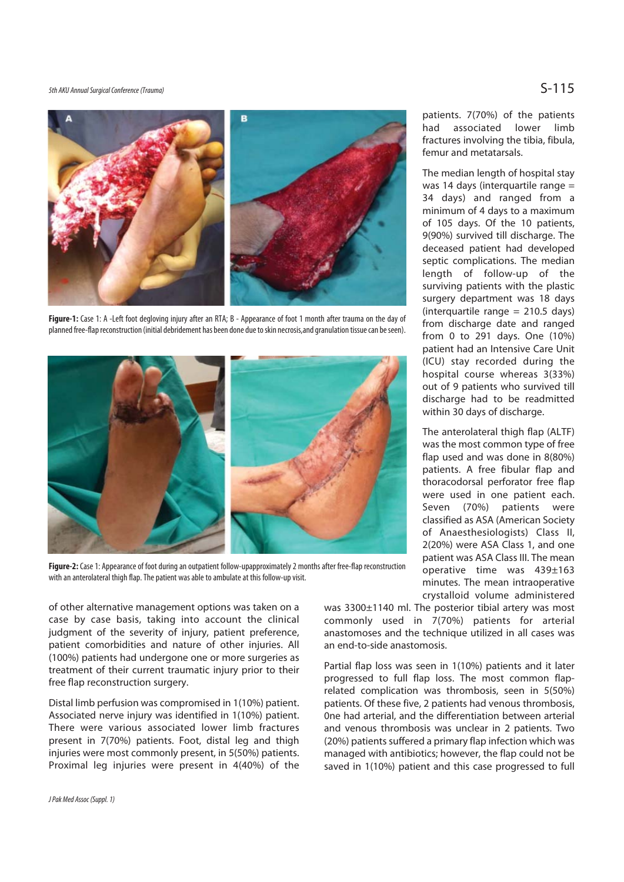5th AKU Annual Surgical Conference (Trauma)  $S-115$ 



**Figure-1:** Case 1: A -Left foot degloving injury after an RTA; B - Appearance of foot 1 month after trauma on the day of planned free-flap reconstruction (initial debridement has been done due to skin necrosis,and granulation tissue can be seen).



**Figure-2:** Case 1: Appearance of foot during an outpatient follow-upapproximately 2 months after free-flap reconstruction with an anterolateral thigh flap. The patient was able to ambulate at this follow-up visit.

of other alternative management options was taken on a case by case basis, taking into account the clinical judgment of the severity of injury, patient preference, patient comorbidities and nature of other injuries. All (100%) patients had undergone one or more surgeries as treatment of their current traumatic injury prior to their free flap reconstruction surgery.

Distal limb perfusion was compromised in 1(10%) patient. Associated nerve injury was identified in 1(10%) patient. There were various associated lower limb fractures present in 7(70%) patients. Foot, distal leg and thigh injuries were most commonly present, in 5(50%) patients. Proximal leg injuries were present in 4(40%) of the patients. 7(70%) of the patients had associated lower limb fractures involving the tibia, fibula, femur and metatarsals.

The median length of hospital stay was 14 days (interquartile range = 34 days) and ranged from a minimum of 4 days to a maximum of 105 days. Of the 10 patients, 9(90%) survived till discharge. The deceased patient had developed septic complications. The median length of follow-up of the surviving patients with the plastic surgery department was 18 days (interquartile range = 210.5 days) from discharge date and ranged from 0 to 291 days. One (10%) patient had an Intensive Care Unit (ICU) stay recorded during the hospital course whereas 3(33%) out of 9 patients who survived till discharge had to be readmitted within 30 days of discharge.

The anterolateral thigh flap (ALTF) was the most common type of free flap used and was done in 8(80%) patients. A free fibular flap and thoracodorsal perforator free flap were used in one patient each. Seven (70%) patients were classified as ASA (American Society of Anaesthesiologists) Class II, 2(20%) were ASA Class 1, and one patient was ASA Class III. The mean operative time was 439±163 minutes. The mean intraoperative crystalloid volume administered

was 3300±1140 ml. The posterior tibial artery was most commonly used in 7(70%) patients for arterial anastomoses and the technique utilized in all cases was an end-to-side anastomosis.

Partial flap loss was seen in 1(10%) patients and it later progressed to full flap loss. The most common flaprelated complication was thrombosis, seen in 5(50%) patients. Of these five, 2 patients had venous thrombosis, 0ne had arterial, and the differentiation between arterial and venous thrombosis was unclear in 2 patients. Two (20%) patients suffered a primary flap infection which was managed with antibiotics; however, the flap could not be saved in 1(10%) patient and this case progressed to full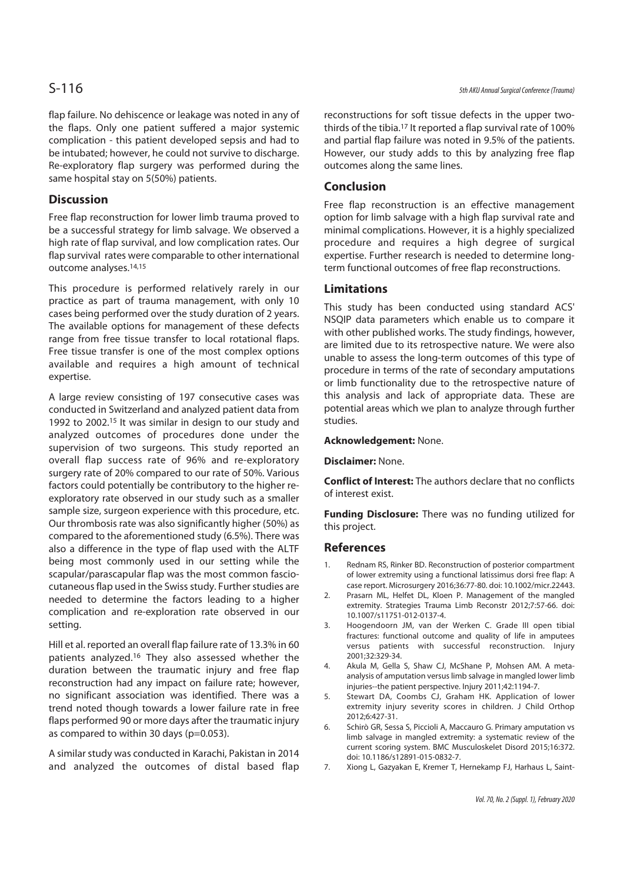flap failure. No dehiscence or leakage was noted in any of the flaps. Only one patient suffered a major systemic complication - this patient developed sepsis and had to be intubated; however, he could not survive to discharge. Re-exploratory flap surgery was performed during the same hospital stay on 5(50%) patients.

# **Discussion**

Free flap reconstruction for lower limb trauma proved to be a successful strategy for limb salvage. We observed a high rate of flap survival, and low complication rates. Our flap survival rates were comparable to other international outcome analyses.14,15

This procedure is performed relatively rarely in our practice as part of trauma management, with only 10 cases being performed over the study duration of 2 years. The available options for management of these defects range from free tissue transfer to local rotational flaps. Free tissue transfer is one of the most complex options available and requires a high amount of technical expertise.

A large review consisting of 197 consecutive cases was conducted in Switzerland and analyzed patient data from 1992 to 2002.15 It was similar in design to our study and analyzed outcomes of procedures done under the supervision of two surgeons. This study reported an overall flap success rate of 96% and re-exploratory surgery rate of 20% compared to our rate of 50%. Various factors could potentially be contributory to the higher reexploratory rate observed in our study such as a smaller sample size, surgeon experience with this procedure, etc. Our thrombosis rate was also significantly higher (50%) as compared to the aforementioned study (6.5%). There was also a difference in the type of flap used with the ALTF being most commonly used in our setting while the scapular/parascapular flap was the most common fasciocutaneous flap used in the Swiss study. Further studies are needed to determine the factors leading to a higher complication and re-exploration rate observed in our setting.

Hill et al. reported an overall flap failure rate of 13.3% in 60 patients analyzed.16 They also assessed whether the duration between the traumatic injury and free flap reconstruction had any impact on failure rate; however, no significant association was identified. There was a trend noted though towards a lower failure rate in free flaps performed 90 or more days after the traumatic injury as compared to within 30 days (p=0.053).

A similar study was conducted in Karachi, Pakistan in 2014 and analyzed the outcomes of distal based flap

reconstructions for soft tissue defects in the upper twothirds of the tibia.<sup>17</sup> It reported a flap survival rate of 100% and partial flap failure was noted in 9.5% of the patients. However, our study adds to this by analyzing free flap outcomes along the same lines.

### **Conclusion**

Free flap reconstruction is an effective management option for limb salvage with a high flap survival rate and minimal complications. However, it is a highly specialized procedure and requires a high degree of surgical expertise. Further research is needed to determine longterm functional outcomes of free flap reconstructions.

### **Limitations**

This study has been conducted using standard ACS' NSQIP data parameters which enable us to compare it with other published works. The study findings, however, are limited due to its retrospective nature. We were also unable to assess the long-term outcomes of this type of procedure in terms of the rate of secondary amputations or limb functionality due to the retrospective nature of this analysis and lack of appropriate data. These are potential areas which we plan to analyze through further studies.

### **Acknowledgement:** None.

**Disclaimer:** None.

**Conflict of Interest:** The authors declare that no conflicts of interest exist.

**Funding Disclosure:** There was no funding utilized for this project.

### **References**

- 1. Rednam RS, Rinker BD. Reconstruction of posterior compartment of lower extremity using a functional latissimus dorsi free flap: A case report. Microsurgery 2016;36:77-80. doi: 10.1002/micr.22443.
- 2. Prasarn ML, Helfet DL, Kloen P. Management of the mangled extremity. Strategies Trauma Limb Reconstr 2012;7:57-66. doi: 10.1007/s11751-012-0137-4.
- 3. Hoogendoorn JM, van der Werken C. Grade III open tibial fractures: functional outcome and quality of life in amputees versus patients with successful reconstruction. Injury 2001;32:329-34.
- 4. Akula M, Gella S, Shaw CJ, McShane P, Mohsen AM. A metaanalysis of amputation versus limb salvage in mangled lower limb injuries--the patient perspective. Injury 2011;42:1194-7.
- 5. Stewart DA, Coombs CJ, Graham HK. Application of lower extremity injury severity scores in children. J Child Orthop 2012;6:427-31.
- 6. Schirò GR, Sessa S, Piccioli A, Maccauro G. Primary amputation vs limb salvage in mangled extremity: a systematic review of the current scoring system. BMC Musculoskelet Disord 2015;16:372. doi: 10.1186/s12891-015-0832-7.
- 7. Xiong L, Gazyakan E, Kremer T, Hernekamp FJ, Harhaus L, Saint-